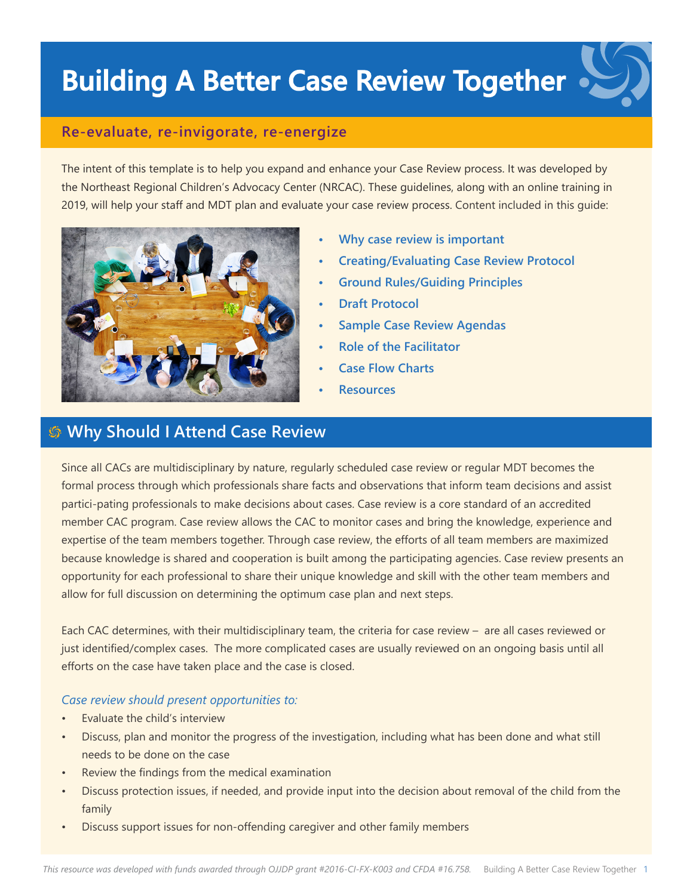# **Building A Better Case Review Together**

### **Re-evaluate, re-invigorate, re-energize**

The intent of this template is to help you expand and enhance your Case Review process. It was developed by the Northeast Regional Children's Advocacy Center (NRCAC). These guidelines, along with an online training in 2019, will help your staff and MDT plan and evaluate your case review process. Content included in this guide:



- **• Why case review is important**
- **• Creating/Evaluating Case Review Protocol**
- **• Ground Rules/Guiding Principles**
- **• Draft Protocol**
- **• Sample Case Review Agendas**
- **• Role of the Facilitator**
- **• Case Flow Charts**
- **• Resources**

# **Why Should I Attend Case Review**

Since all CACs are multidisciplinary by nature, regularly scheduled case review or regular MDT becomes the formal process through which professionals share facts and observations that inform team decisions and assist partici-pating professionals to make decisions about cases. Case review is a core standard of an accredited member CAC program. Case review allows the CAC to monitor cases and bring the knowledge, experience and expertise of the team members together. Through case review, the efforts of all team members are maximized because knowledge is shared and cooperation is built among the participating agencies. Case review presents an opportunity for each professional to share their unique knowledge and skill with the other team members and allow for full discussion on determining the optimum case plan and next steps.

Each CAC determines, with their multidisciplinary team, the criteria for case review – are all cases reviewed or just identified/complex cases. The more complicated cases are usually reviewed on an ongoing basis until all efforts on the case have taken place and the case is closed.

### *Case review should present opportunities to:*

- Evaluate the child's interview
- Discuss, plan and monitor the progress of the investigation, including what has been done and what still needs to be done on the case
- Review the findings from the medical examination
- Discuss protection issues, if needed, and provide input into the decision about removal of the child from the family
- Discuss support issues for non-offending caregiver and other family members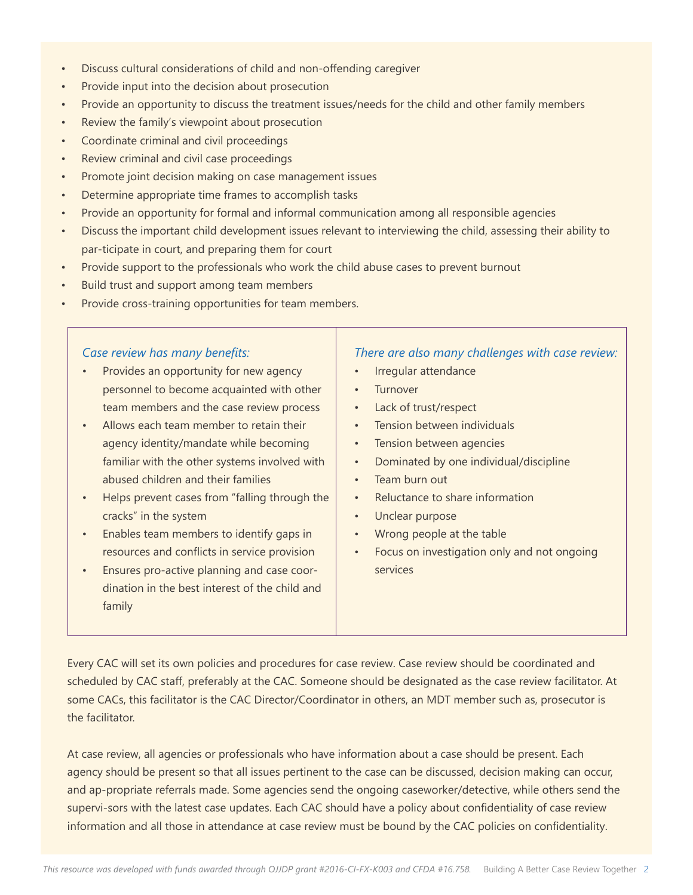- Discuss cultural considerations of child and non-offending caregiver
- Provide input into the decision about prosecution
- Provide an opportunity to discuss the treatment issues/needs for the child and other family members
- Review the family's viewpoint about prosecution
- Coordinate criminal and civil proceedings
- Review criminal and civil case proceedings
- Promote joint decision making on case management issues
- Determine appropriate time frames to accomplish tasks
- Provide an opportunity for formal and informal communication among all responsible agencies
- Discuss the important child development issues relevant to interviewing the child, assessing their ability to par-ticipate in court, and preparing them for court
- Provide support to the professionals who work the child abuse cases to prevent burnout
- Build trust and support among team members
- Provide cross-training opportunities for team members.

#### *Case review has many benefits:*

- Provides an opportunity for new agency personnel to become acquainted with other team members and the case review process
- Allows each team member to retain their agency identity/mandate while becoming familiar with the other systems involved with abused children and their families
- Helps prevent cases from "falling through the cracks" in the system
- Enables team members to identify gaps in resources and conflicts in service provision
- Ensures pro-active planning and case coordination in the best interest of the child and family

#### *There are also many challenges with case review:*

- Irregular attendance
- **Turnover**
- Lack of trust/respect
- Tension between individuals
- Tension between agencies
- Dominated by one individual/discipline
- Team burn out
- Reluctance to share information
- Unclear purpose
- Wrong people at the table
- Focus on investigation only and not ongoing services

Every CAC will set its own policies and procedures for case review. Case review should be coordinated and scheduled by CAC staff, preferably at the CAC. Someone should be designated as the case review facilitator. At some CACs, this facilitator is the CAC Director/Coordinator in others, an MDT member such as, prosecutor is the facilitator.

At case review, all agencies or professionals who have information about a case should be present. Each agency should be present so that all issues pertinent to the case can be discussed, decision making can occur, and ap-propriate referrals made. Some agencies send the ongoing caseworker/detective, while others send the supervi-sors with the latest case updates. Each CAC should have a policy about confidentiality of case review information and all those in attendance at case review must be bound by the CAC policies on confidentiality.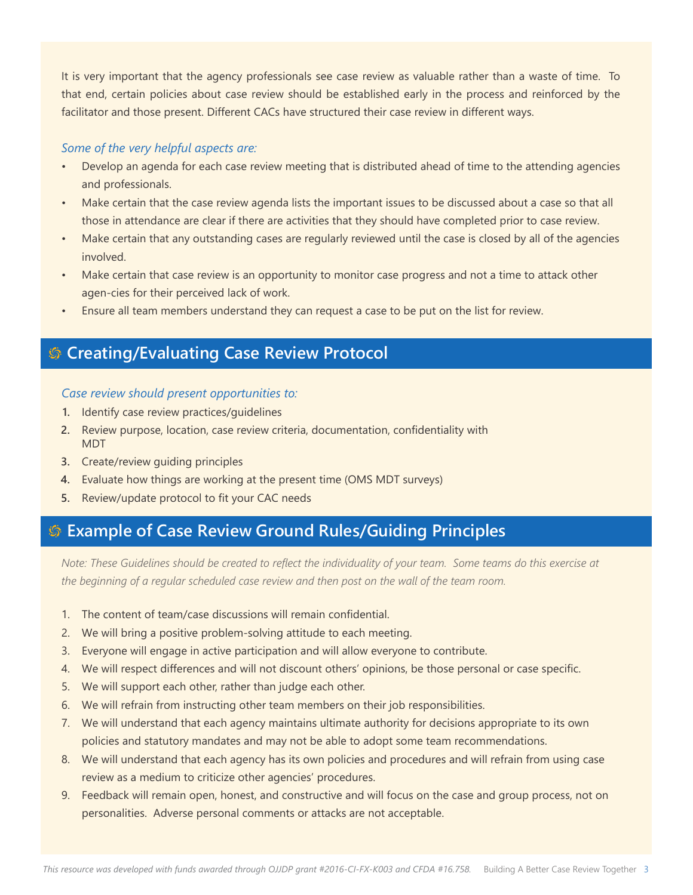It is very important that the agency professionals see case review as valuable rather than a waste of time. To that end, certain policies about case review should be established early in the process and reinforced by the facilitator and those present. Different CACs have structured their case review in different ways.

### *Some of the very helpful aspects are:*

- Develop an agenda for each case review meeting that is distributed ahead of time to the attending agencies and professionals.
- Make certain that the case review agenda lists the important issues to be discussed about a case so that all those in attendance are clear if there are activities that they should have completed prior to case review.
- Make certain that any outstanding cases are regularly reviewed until the case is closed by all of the agencies involved.
- Make certain that case review is an opportunity to monitor case progress and not a time to attack other agen-cies for their perceived lack of work.
- Ensure all team members understand they can request a case to be put on the list for review.

# **Creating/Evaluating Case Review Protocol**

### *Case review should present opportunities to:*

- **1.** Identify case review practices/guidelines
- **2.** Review purpose, location, case review criteria, documentation, confidentiality with MDT
- **3.** Create/review guiding principles
- **4.** Evaluate how things are working at the present time (OMS MDT surveys)
- **5.** Review/update protocol to fit your CAC needs

# **Example of Case Review Ground Rules/Guiding Principles**

*Note: These Guidelines should be created to reflect the individuality of your team. Some teams do this exercise at the beginning of a regular scheduled case review and then post on the wall of the team room.*

- 1. The content of team/case discussions will remain confidential.
- 2. We will bring a positive problem-solving attitude to each meeting.
- 3. Everyone will engage in active participation and will allow everyone to contribute.
- 4. We will respect differences and will not discount others' opinions, be those personal or case specific.
- 5. We will support each other, rather than judge each other.
- 6. We will refrain from instructing other team members on their job responsibilities.
- 7. We will understand that each agency maintains ultimate authority for decisions appropriate to its own policies and statutory mandates and may not be able to adopt some team recommendations.
- 8. We will understand that each agency has its own policies and procedures and will refrain from using case review as a medium to criticize other agencies' procedures.
- 9. Feedback will remain open, honest, and constructive and will focus on the case and group process, not on personalities. Adverse personal comments or attacks are not acceptable.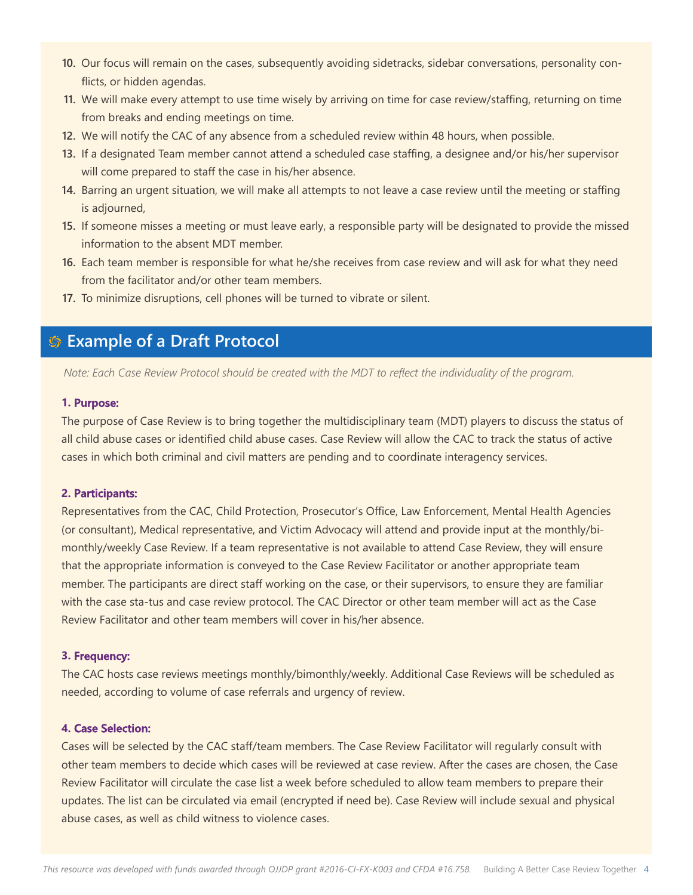- **10.** Our focus will remain on the cases, subsequently avoiding sidetracks, sidebar conversations, personality conflicts, or hidden agendas.
- **11.** We will make every attempt to use time wisely by arriving on time for case review/staffing, returning on time from breaks and ending meetings on time.
- **12.** We will notify the CAC of any absence from a scheduled review within 48 hours, when possible.
- **13.** If a designated Team member cannot attend a scheduled case staffing, a designee and/or his/her supervisor will come prepared to staff the case in his/her absence.
- **14.** Barring an urgent situation, we will make all attempts to not leave a case review until the meeting or staffing is adjourned,
- **15.** If someone misses a meeting or must leave early, a responsible party will be designated to provide the missed information to the absent MDT member.
- **16.** Each team member is responsible for what he/she receives from case review and will ask for what they need from the facilitator and/or other team members.
- **17.** To minimize disruptions, cell phones will be turned to vibrate or silent.

### **Example of a Draft Protocol**

*Note: Each Case Review Protocol should be created with the MDT to reflect the individuality of the program.*

#### **1. Purpose:**

The purpose of Case Review is to bring together the multidisciplinary team (MDT) players to discuss the status of all child abuse cases or identified child abuse cases. Case Review will allow the CAC to track the status of active cases in which both criminal and civil matters are pending and to coordinate interagency services.

#### **2. Participants:**

Representatives from the CAC, Child Protection, Prosecutor's Office, Law Enforcement, Mental Health Agencies (or consultant), Medical representative, and Victim Advocacy will attend and provide input at the monthly/bimonthly/weekly Case Review. If a team representative is not available to attend Case Review, they will ensure that the appropriate information is conveyed to the Case Review Facilitator or another appropriate team member. The participants are direct staff working on the case, or their supervisors, to ensure they are familiar with the case sta-tus and case review protocol. The CAC Director or other team member will act as the Case Review Facilitator and other team members will cover in his/her absence.

#### **3. Frequency:**

The CAC hosts case reviews meetings monthly/bimonthly/weekly. Additional Case Reviews will be scheduled as needed, according to volume of case referrals and urgency of review.

#### **4. Case Selection:**

Cases will be selected by the CAC staff/team members. The Case Review Facilitator will regularly consult with other team members to decide which cases will be reviewed at case review. After the cases are chosen, the Case Review Facilitator will circulate the case list a week before scheduled to allow team members to prepare their updates. The list can be circulated via email (encrypted if need be). Case Review will include sexual and physical abuse cases, as well as child witness to violence cases.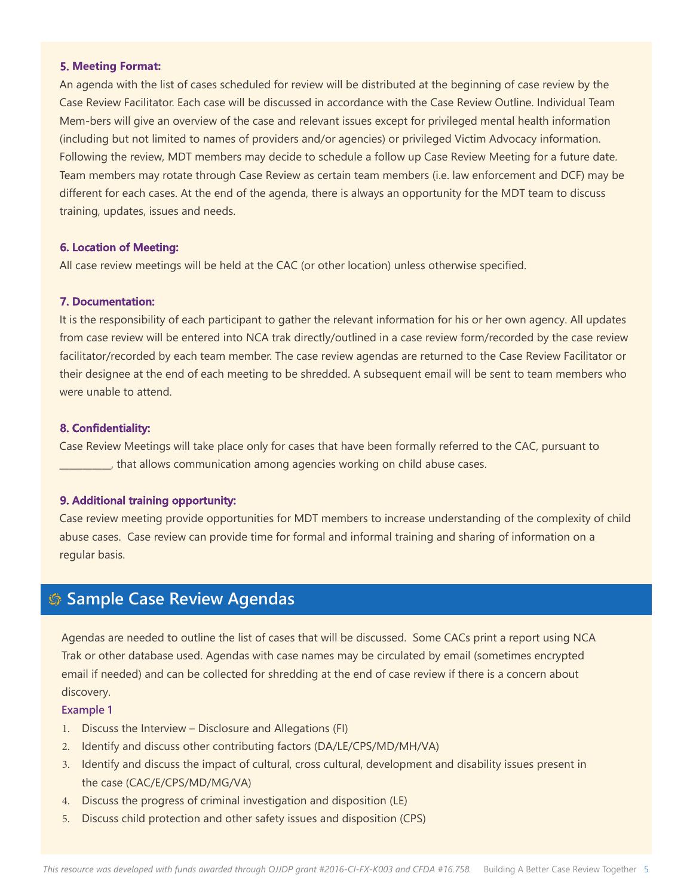#### **5. Meeting Format:**

An agenda with the list of cases scheduled for review will be distributed at the beginning of case review by the Case Review Facilitator. Each case will be discussed in accordance with the Case Review Outline. Individual Team Mem-bers will give an overview of the case and relevant issues except for privileged mental health information (including but not limited to names of providers and/or agencies) or privileged Victim Advocacy information. Following the review, MDT members may decide to schedule a follow up Case Review Meeting for a future date. Team members may rotate through Case Review as certain team members (i.e. law enforcement and DCF) may be different for each cases. At the end of the agenda, there is always an opportunity for the MDT team to discuss training, updates, issues and needs.

#### **6. Location of Meeting:**

All case review meetings will be held at the CAC (or other location) unless otherwise specified.

#### **7. Documentation:**

It is the responsibility of each participant to gather the relevant information for his or her own agency. All updates from case review will be entered into NCA trak directly/outlined in a case review form/recorded by the case review facilitator/recorded by each team member. The case review agendas are returned to the Case Review Facilitator or their designee at the end of each meeting to be shredded. A subsequent email will be sent to team members who were unable to attend.

#### **8. Confidentiality:**

Case Review Meetings will take place only for cases that have been formally referred to the CAC, pursuant to \_\_\_\_\_\_\_\_\_\_\_, that allows communication among agencies working on child abuse cases.

#### **9. Additional training opportunity:**

Case review meeting provide opportunities for MDT members to increase understanding of the complexity of child abuse cases. Case review can provide time for formal and informal training and sharing of information on a regular basis.

# **Sample Case Review Agendas**

Agendas are needed to outline the list of cases that will be discussed. Some CACs print a report using NCA Trak or other database used. Agendas with case names may be circulated by email (sometimes encrypted email if needed) and can be collected for shredding at the end of case review if there is a concern about discovery.

#### **Example 1**

- 1. Discuss the Interview Disclosure and Allegations (FI)
- 2. Identify and discuss other contributing factors (DA/LE/CPS/MD/MH/VA)
- 3. Identify and discuss the impact of cultural, cross cultural, development and disability issues present in the case (CAC/E/CPS/MD/MG/VA)
- 4. Discuss the progress of criminal investigation and disposition (LE)
- 5. Discuss child protection and other safety issues and disposition (CPS)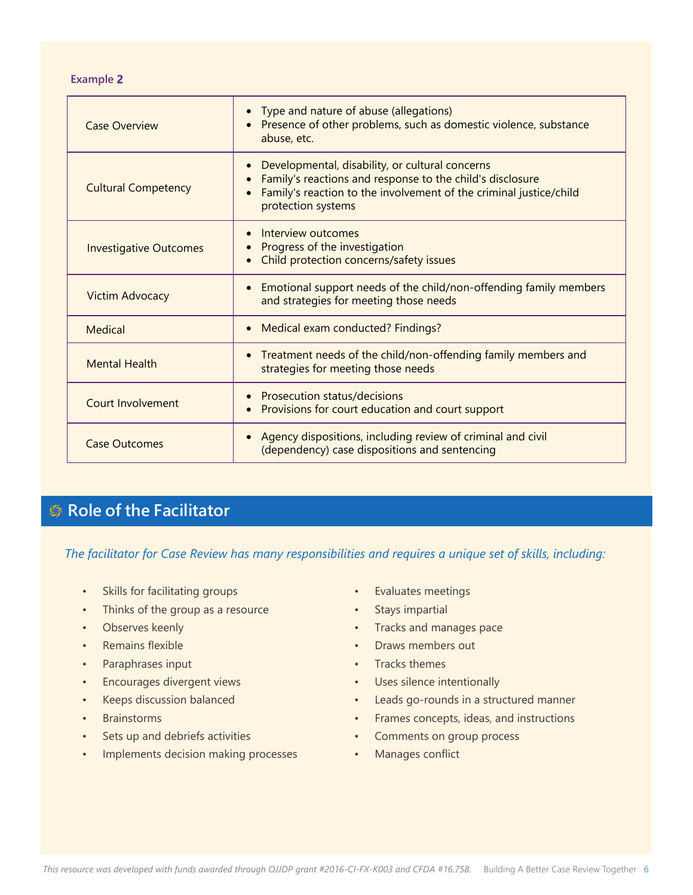**Example 2**

| <b>Case Overview</b>          | Type and nature of abuse (allegations)<br>$\bullet$<br>Presence of other problems, such as domestic violence, substance<br>abuse, etc.                                                                                |
|-------------------------------|-----------------------------------------------------------------------------------------------------------------------------------------------------------------------------------------------------------------------|
| <b>Cultural Competency</b>    | Developmental, disability, or cultural concerns<br>$\bullet$<br>Family's reactions and response to the child's disclosure<br>Family's reaction to the involvement of the criminal justice/child<br>protection systems |
| <b>Investigative Outcomes</b> | Interview outcomes<br>$\bullet$<br>Progress of the investigation<br>Child protection concerns/safety issues                                                                                                           |
| <b>Victim Advocacy</b>        | Emotional support needs of the child/non-offending family members<br>$\bullet$<br>and strategies for meeting those needs                                                                                              |
| Medical                       | Medical exam conducted? Findings?<br>$\bullet$                                                                                                                                                                        |
| <b>Mental Health</b>          | Treatment needs of the child/non-offending family members and<br>$\bullet$<br>strategies for meeting those needs                                                                                                      |
| <b>Court Involvement</b>      | Prosecution status/decisions<br>Provisions for court education and court support                                                                                                                                      |
| <b>Case Outcomes</b>          | Agency dispositions, including review of criminal and civil<br>(dependency) case dispositions and sentencing                                                                                                          |

# **Role of the Facilitator**

*The facilitator for Case Review has many responsibilities and requires a unique set of skills, including:*

- Skills for facilitating groups
- Thinks of the group as a resource
- Observes keenly
- Remains flexible
- Paraphrases input
- Encourages divergent views
- Keeps discussion balanced
- Brainstorms
- Sets up and debriefs activities
- Implements decision making processes
- Evaluates meetings
- Stays impartial
- Tracks and manages pace
- Draws members out
- Tracks themes
- Uses silence intentionally
- Leads go-rounds in a structured manner
- Frames concepts, ideas, and instructions
- Comments on group process
- Manages conflict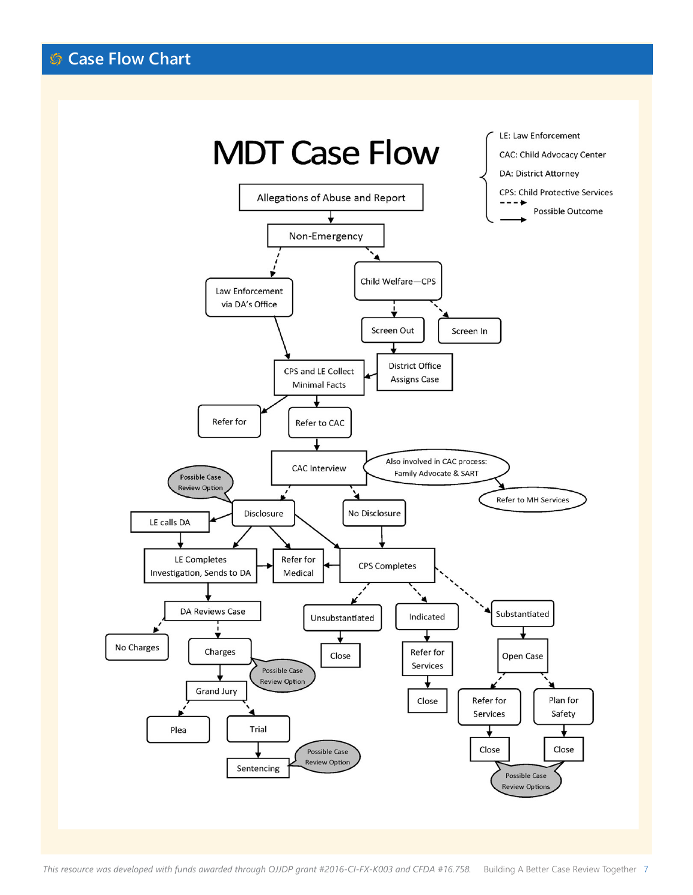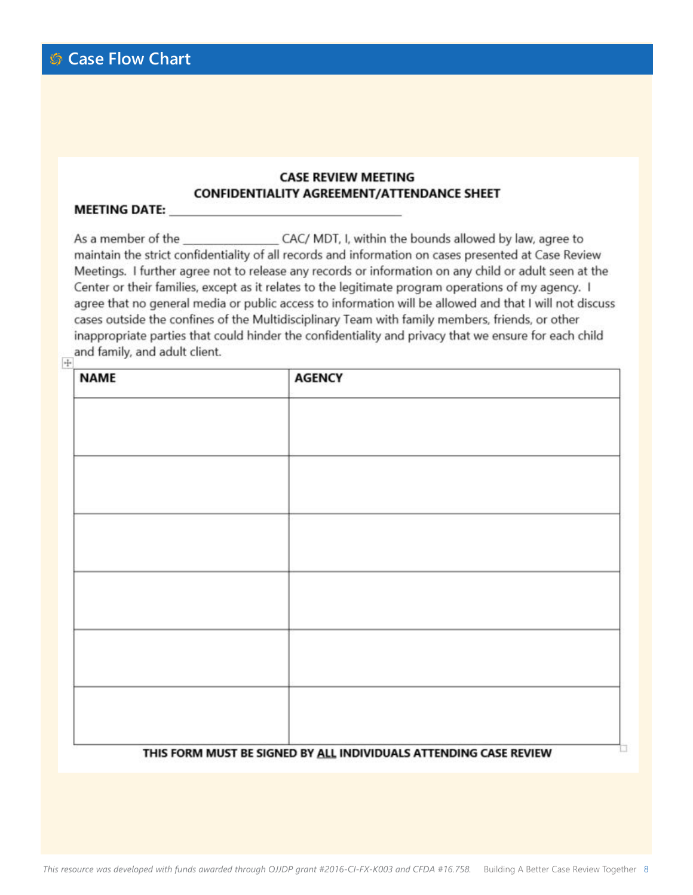### **CASE REVIEW MEETING CONFIDENTIALITY AGREEMENT/ATTENDANCE SHEET**

#### **MEETING DATE:**

As a member of the CAC/ MDT, I, within the bounds allowed by law, agree to maintain the strict confidentiality of all records and information on cases presented at Case Review Meetings. I further agree not to release any records or information on any child or adult seen at the Center or their families, except as it relates to the legitimate program operations of my agency. I agree that no general media or public access to information will be allowed and that I will not discuss cases outside the confines of the Multidisciplinary Team with family members, friends, or other inappropriate parties that could hinder the confidentiality and privacy that we ensure for each child  $\frac{1}{2}$  and family, and adult client.

| <b>NAME</b> | <b>AGENCY</b>                                                     |  |
|-------------|-------------------------------------------------------------------|--|
|             |                                                                   |  |
|             |                                                                   |  |
|             |                                                                   |  |
|             |                                                                   |  |
|             |                                                                   |  |
|             |                                                                   |  |
|             |                                                                   |  |
|             |                                                                   |  |
|             |                                                                   |  |
|             |                                                                   |  |
|             |                                                                   |  |
|             |                                                                   |  |
|             |                                                                   |  |
|             | THIS FORM MUST BE SIGNED BY ALL INDIVIDUALS ATTENDING CASE REVIEW |  |